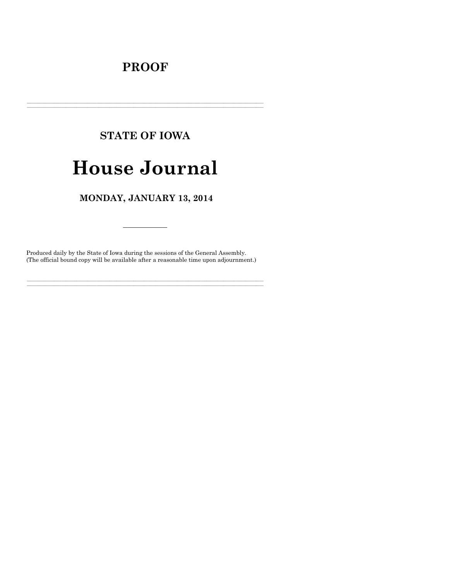## **PROOF**

## **STATE OF IOWA**

# **House Journal**

## MONDAY, JANUARY 13, 2014

Produced daily by the State of Iowa during the sessions of the General Assembly. (The official bound copy will be available after a reasonable time upon adjournment.)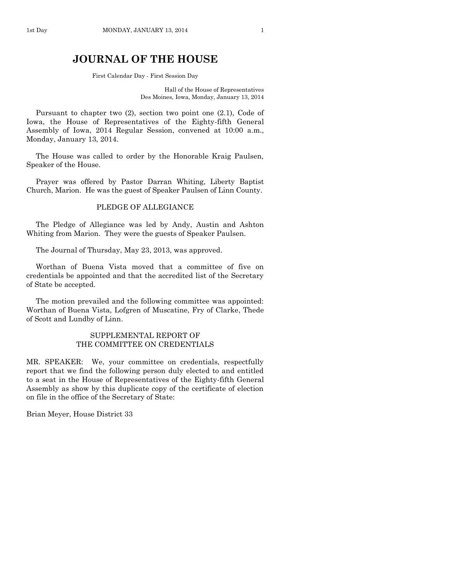## **JOURNAL OF THE HOUSE**

First Calendar Day - First Session Day

Hall of the House of Representatives Des Moines, Iowa, Monday, January 13, 2014

Pursuant to chapter two (2), section two point one (2.1), Code of Iowa, the House of Representatives of the Eighty-fifth General Assembly of Iowa, 2014 Regular Session, convened at 10:00 a.m., Monday, January 13, 2014.

The House was called to order by the Honorable Kraig Paulsen, Speaker of the House.

Prayer was offered by Pastor Darran Whiting, Liberty Baptist Church, Marion. He was the guest of Speaker Paulsen of Linn County.

## PLEDGE OF ALLEGIANCE

The Pledge of Allegiance was led by Andy, Austin and Ashton Whiting from Marion. They were the guests of Speaker Paulsen.

The Journal of Thursday, May 23, 2013, was approved.

Worthan of Buena Vista moved that a committee of five on credentials be appointed and that the accredited list of the Secretary of State be accepted.

The motion prevailed and the following committee was appointed: Worthan of Buena Vista, Lofgren of Muscatine, Fry of Clarke, Thede of Scott and Lundby of Linn.

## SUPPLEMENTAL REPORT OF THE COMMITTEE ON CREDENTIALS

MR. SPEAKER: We, your committee on credentials, respectfully report that we find the following person duly elected to and entitled to a seat in the House of Representatives of the Eighty-fifth General Assembly as show by this duplicate copy of the certificate of election on file in the office of the Secretary of State:

Brian Meyer, House District 33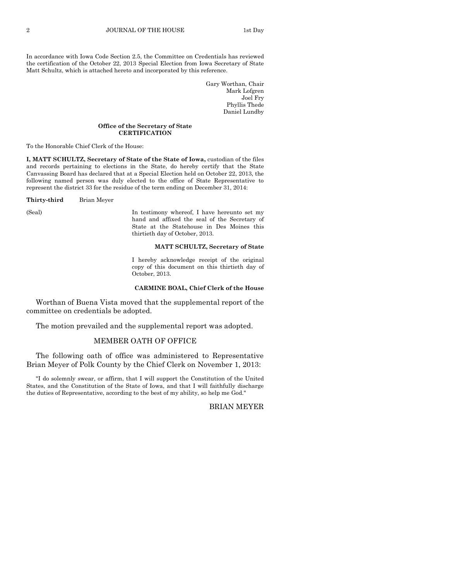In accordance with Iowa Code Section 2.5, the Committee on Credentials has reviewed the certification of the October 22, 2013 Special Election from Iowa Secretary of State Matt Schultz, which is attached hereto and incorporated by this reference.

> Gary Worthan, Chair Mark Lofgren Joel Fry Phyllis Thede Daniel Lundby

#### **Office of the Secretary of State CERTIFICATION**

To the Honorable Chief Clerk of the House:

**I, MATT SCHULTZ, Secretary of State of the State of Iowa,** custodian of the files and records pertaining to elections in the State, do hereby certify that the State Canvassing Board has declared that at a Special Election held on October 22, 2013, the following named person was duly elected to the office of State Representative to represent the district 33 for the residue of the term ending on December 31, 2014:

**Thirty-third** Brian Meyer

(Seal) In testimony whereof, I have hereunto set my hand and affixed the seal of the Secretary of State at the Statehouse in Des Moines this thirtieth day of October, 2013.

#### **MATT SCHULTZ, Secretary of State**

I hereby acknowledge receipt of the original copy of this document on this thirtieth day of October, 2013.

#### **CARMINE BOAL, Chief Clerk of the House**

Worthan of Buena Vista moved that the supplemental report of the committee on credentials be adopted.

The motion prevailed and the supplemental report was adopted.

## MEMBER OATH OF OFFICE

The following oath of office was administered to Representative Brian Meyer of Polk County by the Chief Clerk on November 1, 2013:

"I do solemnly swear, or affirm, that I will support the Constitution of the United States, and the Constitution of the State of Iowa, and that I will faithfully discharge the duties of Representative, according to the best of my ability, so help me God."

BRIAN MEYER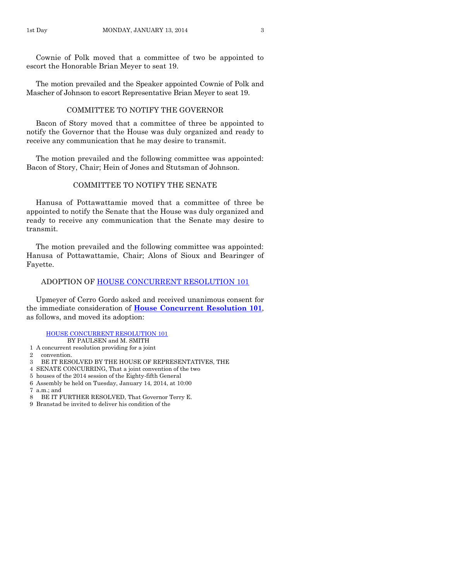Cownie of Polk moved that a committee of two be appointed to escort the Honorable Brian Meyer to seat 19.

The motion prevailed and the Speaker appointed Cownie of Polk and Mascher of Johnson to escort Representative Brian Meyer to seat 19.

## COMMITTEE TO NOTIFY THE GOVERNOR

Bacon of Story moved that a committee of three be appointed to notify the Governor that the House was duly organized and ready to receive any communication that he may desire to transmit.

The motion prevailed and the following committee was appointed: Bacon of Story, Chair; Hein of Jones and Stutsman of Johnson.

## COMMITTEE TO NOTIFY THE SENATE

Hanusa of Pottawattamie moved that a committee of three be appointed to notify the Senate that the House was duly organized and ready to receive any communication that the Senate may desire to transmit.

The motion prevailed and the following committee was appointed: Hanusa of Pottawattamie, Chair; Alons of Sioux and Bearinger of Fayette.

## ADOPTION OF [HOUSE CONCURRENT RESOLUTION 101](http://coolice.legis.iowa.gov/Cool-ICE/default.asp?Category=billinfo&Service=Billbook&frame=1&GA=85&hbill=HCR101)

Upmeyer of Cerro Gordo asked and received unanimous consent for the immediate consideration of **[House Concurrent Resolution](http://coolice.legis.iowa.gov/Cool-ICE/default.asp?Category=billinfo&Service=Billbook&frame=1&GA=85&hbill=HCR101) 101**, as follows, and moved its adoption:

#### [HOUSE CONCURRENT RESOLUTION 101](http://coolice.legis.iowa.gov/Cool-ICE/default.asp?Category=billinfo&Service=Billbook&frame=1&GA=85&hbill=HCR101)

## BY PAULSEN and M. SMITH

- 1 A concurrent resolution providing for a joint
- 2 convention.
- 3 BE IT RESOLVED BY THE HOUSE OF REPRESENTATIVES, THE
- 4 SENATE CONCURRING, That a joint convention of the two
- 5 houses of the 2014 session of the Eighty-fifth General
- 6 Assembly be held on Tuesday, January 14, 2014, at 10:00
- 7 a.m.; and
- 8 BE IT FURTHER RESOLVED, That Governor Terry E.
- 9 Branstad be invited to deliver his condition of the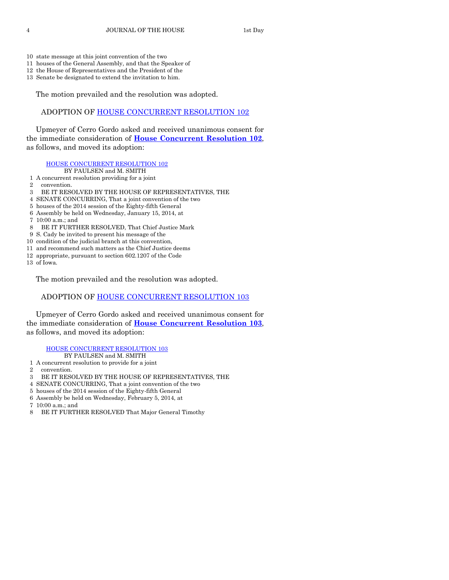- 10 state message at this joint convention of the two
- 11 houses of the General Assembly, and that the Speaker of
- 12 the House of Representatives and the President of the
- 13 Senate be designated to extend the invitation to him.

The motion prevailed and the resolution was adopted.

## ADOPTION OF [HOUSE CONCURRENT RESOLUTION 102](http://coolice.legis.iowa.gov/Cool-ICE/default.asp?Category=billinfo&Service=Billbook&frame=1&GA=85&hbill=HCR102)

Upmeyer of Cerro Gordo asked and received unanimous consent for the immediate consideration of **[House Concurrent Resolution](http://coolice.legis.iowa.gov/Cool-ICE/default.asp?Category=billinfo&Service=Billbook&frame=1&GA=85&hbill=HCR102) 102**, as follows, and moved its adoption:

#### [HOUSE CONCURRENT RESOLUTION 102](http://coolice.legis.iowa.gov/Cool-ICE/default.asp?Category=billinfo&Service=Billbook&frame=1&GA=85&hbill=HCR102)

- BY PAULSEN and M. SMITH
- 1 A concurrent resolution providing for a joint
- 2 convention.
- 3 BE IT RESOLVED BY THE HOUSE OF REPRESENTATIVES, THE
- 4 SENATE CONCURRING, That a joint convention of the two
- 5 houses of the 2014 session of the Eighty-fifth General
- 6 Assembly be held on Wednesday, January 15, 2014, at
- 7 10:00 a.m.; and
- 8 BE IT FURTHER RESOLVED, That Chief Justice Mark
- 9 S. Cady be invited to present his message of the
- 10 condition of the judicial branch at this convention,
- 11 and recommend such matters as the Chief Justice deems
- 12 appropriate, pursuant to section 602.1207 of the Code
- 13 of Iowa.

The motion prevailed and the resolution was adopted.

## ADOPTION OF [HOUSE CONCURRENT RESOLUTION 103](http://coolice.legis.iowa.gov/Cool-ICE/default.asp?Category=billinfo&Service=Billbook&frame=1&GA=85&hbill=HCR103)

Upmeyer of Cerro Gordo asked and received unanimous consent for the immediate consideration of **[House Concurrent Resolution](http://coolice.legis.iowa.gov/Cool-ICE/default.asp?Category=billinfo&Service=Billbook&frame=1&GA=85&hbill=HCR103) 103**, as follows, and moved its adoption:

#### [HOUSE CONCURRENT RESOLUTION 103](http://coolice.legis.iowa.gov/Cool-ICE/default.asp?Category=billinfo&Service=Billbook&frame=1&GA=85&hbill=HCR103)

BY PAULSEN and M. SMITH

- 1 A concurrent resolution to provide for a joint
- 2 convention.
- 3 BE IT RESOLVED BY THE HOUSE OF REPRESENTATIVES, THE
- 4 SENATE CONCURRING, That a joint convention of the two
- 5 houses of the 2014 session of the Eighty-fifth General
- 6 Assembly be held on Wednesday, February 5, 2014, at
- $7.10(0.00 \text{ s} \cdot \text{m} \cdot \text{m}$
- 8 BE IT FURTHER RESOLVED That Major General Timothy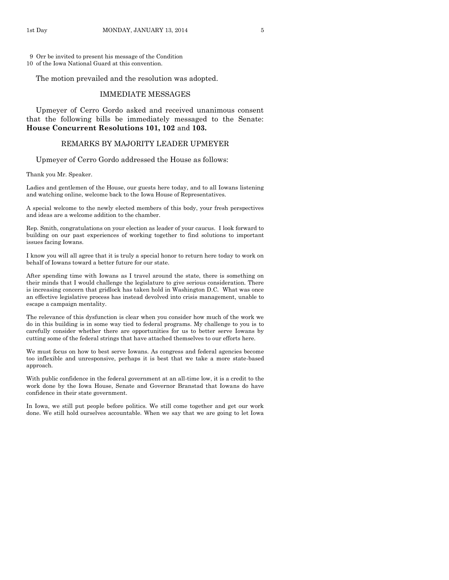9 Orr be invited to present his message of the Condition 10 of the Iowa National Guard at this convention.

The motion prevailed and the resolution was adopted.

#### IMMEDIATE MESSAGES

Upmeyer of Cerro Gordo asked and received unanimous consent that the following bills be immediately messaged to the Senate: **House Concurrent Resolutions 101, 102** and **103.**

## REMARKS BY MAJORITY LEADER UPMEYER

Upmeyer of Cerro Gordo addressed the House as follows:

Thank you Mr. Speaker.

Ladies and gentlemen of the House, our guests here today, and to all Iowans listening and watching online, welcome back to the Iowa House of Representatives.

A special welcome to the newly elected members of this body, your fresh perspectives and ideas are a welcome addition to the chamber.

Rep. Smith, congratulations on your election as leader of your caucus. I look forward to building on our past experiences of working together to find solutions to important issues facing Iowans.

I know you will all agree that it is truly a special honor to return here today to work on behalf of Iowans toward a better future for our state.

After spending time with Iowans as I travel around the state, there is something on their minds that I would challenge the legislature to give serious consideration. There is increasing concern that gridlock has taken hold in Washington D.C. What was once an effective legislative process has instead devolved into crisis management, unable to escape a campaign mentality.

The relevance of this dysfunction is clear when you consider how much of the work we do in this building is in some way tied to federal programs. My challenge to you is to carefully consider whether there are opportunities for us to better serve Iowans by cutting some of the federal strings that have attached themselves to our efforts here.

We must focus on how to best serve Iowans. As congress and federal agencies become too inflexible and unresponsive, perhaps it is best that we take a more state-based approach.

With public confidence in the federal government at an all-time low, it is a credit to the work done by the Iowa House, Senate and Governor Branstad that Iowans do have confidence in their state government.

In Iowa, we still put people before politics. We still come together and get our work done. We still hold ourselves accountable. When we say that we are going to let Iowa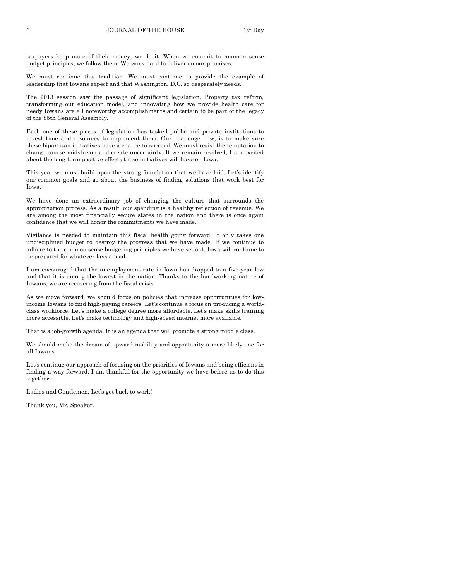taxpayers keep more of their money, we do it. When we commit to common sense budget principles, we follow them. We work hard to deliver on our promises.

We must continue this tradition. We must continue to provide the example of leadership that Iowans expect and that Washington, D.C. so desperately needs.

The 2013 session saw the passage of significant legislation. Property tax reform, transforming our education model, and innovating how we provide health care for needy Iowans are all noteworthy accomplishments and certain to be part of the legacy of the 85th General Assembly.

Each one of these pieces of legislation has tasked public and private institutions to invest time and resources to implement them. Our challenge now, is to make sure these bipartisan initiatives have a chance to succeed. We must resist the temptation to change course midstream and create uncertainty. If we remain resolved, I am excited about the long-term positive effects these initiatives will have on Iowa.

This year we must build upon the strong foundation that we have laid. Let's identify our common goals and go about the business of finding solutions that work best for Iowa.

We have done an extraordinary job of changing the culture that surrounds the appropriation process. As a result, our spending is a healthy reflection of revenue. We are among the most financially secure states in the nation and there is once again confidence that we will honor the commitments we have made.

Vigilance is needed to maintain this fiscal health going forward. It only takes one undisciplined budget to destroy the progress that we have made. If we continue to adhere to the common sense budgeting principles we have set out, Iowa will continue to be prepared for whatever lays ahead.

I am encouraged that the unemployment rate in Iowa has dropped to a five-year low and that it is among the lowest in the nation. Thanks to the hardworking nature of Iowans, we are recovering from the fiscal crisis.

As we move forward, we should focus on policies that increase opportunities for lowincome Iowans to find high-paying careers. Let's continue a focus on producing a worldclass workforce. Let's make a college degree more affordable. Let's make skills training more accessible. Let's make technology and high-speed internet more available.

That is a job-growth agenda. It is an agenda that will promote a strong middle class.

We should make the dream of upward mobility and opportunity a more likely one for all Iowans.

Let's continue our approach of focusing on the priorities of Iowans and being efficient in finding a way forward. I am thankful for the opportunity we have before us to do this together.

Ladies and Gentlemen, Let's get back to work!

Thank you, Mr. Speaker.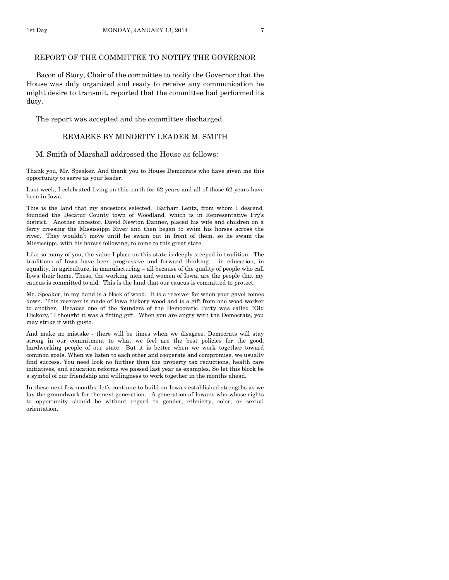## REPORT OF THE COMMITTEE TO NOTIFY THE GOVERNOR

Bacon of Story, Chair of the committee to notify the Governor that the House was duly organized and ready to receive any communication he might desire to transmit, reported that the committee had performed its duty.

The report was accepted and the committee discharged.

### REMARKS BY MINORITY LEADER M. SMITH

#### M. Smith of Marshall addressed the House as follows:

Thank you, Mr. Speaker. And thank you to House Democrats who have given me this opportunity to serve as your leader.

Last week, I celebrated living on this earth for 62 years and all of those 62 years have been in Iowa.

This is the land that my ancestors selected. Earhart Lentz, from whom I descend, founded the Decatur County town of Woodland, which is in Representative Fry's district. Another ancestor, David Newton Danner, placed his wife and children on a ferry crossing the Mississippi River and then began to swim his horses across the river. They wouldn't move until he swam out in front of them, so he swam the Mississippi, with his horses following, to come to this great state.

Like so many of you, the value I place on this state is deeply steeped in tradition. The traditions of Iowa have been progressive and forward thinking – in education, in equality, in agriculture, in manufacturing – all because of the quality of people who call Iowa their home. These, the working men and women of Iowa, are the people that my caucus is committed to aid. This is the land that our caucus is committed to protect.

Mr. Speaker, in my hand is a block of wood. It is a receiver for when your gavel comes down. This receiver is made of Iowa hickory wood and is a gift from one wood worker to another. Because one of the founders of the Democratic Party was called "Old Hickory," I thought it was a fitting gift. When you are angry with the Democrats, you may strike it with gusto.

And make no mistake - there will be times when we disagree. Democrats will stay strong in our commitment to what we feel are the best policies for the good, hardworking people of our state. But it is better when we work together toward common goals. When we listen to each other and cooperate and compromise, we usually find success. You need look no further than the property tax reductions, health care initiatives, and education reforms we passed last year as examples. So let this block be a symbol of our friendship and willingness to work together in the months ahead.

In these next few months, let's continue to build on Iowa's established strengths as we lay the groundwork for the next generation. A generation of Iowans who whose rights to opportunity should be without regard to gender, ethnicity, color, or sexual orientation.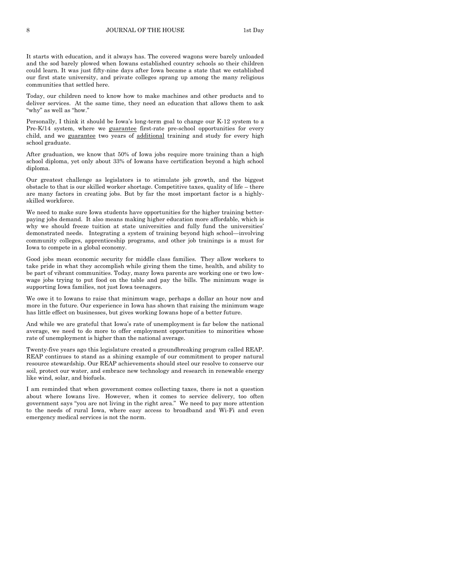It starts with education, and it always has. The covered wagons were barely unloaded and the sod barely plowed when Iowans established country schools so their children could learn. It was just fifty-nine days after Iowa became a state that we established our first state university, and private colleges sprang up among the many religious communities that settled here.

Today, our children need to know how to make machines and other products and to deliver services. At the same time, they need an education that allows them to ask "why" as well as "how."

Personally, I think it should be Iowa's long-term goal to change our K-12 system to a Pre-K/14 system, where we guarantee first-rate pre-school opportunities for every child, and we guarantee two years of additional training and study for every high school graduate.

After graduation, we know that 50% of Iowa jobs require more training than a high school diploma, yet only about 33% of Iowans have certification beyond a high school diploma.

Our greatest challenge as legislators is to stimulate job growth, and the biggest obstacle to that is our skilled worker shortage. Competitive taxes, quality of life – there are many factors in creating jobs. But by far the most important factor is a highlyskilled workforce.

We need to make sure Iowa students have opportunities for the higher training betterpaying jobs demand. It also means making higher education more affordable, which is why we should freeze tuition at state universities and fully fund the universities' demonstrated needs. Integrating a system of training beyond high school—involving community colleges, apprenticeship programs, and other job trainings is a must for Iowa to compete in a global economy.

Good jobs mean economic security for middle class families. They allow workers to take pride in what they accomplish while giving them the time, health, and ability to be part of vibrant communities. Today, many Iowa parents are working one or two lowwage jobs trying to put food on the table and pay the bills. The minimum wage is supporting Iowa families, not just Iowa teenagers.

We owe it to Iowans to raise that minimum wage, perhaps a dollar an hour now and more in the future. Our experience in Iowa has shown that raising the minimum wage has little effect on businesses, but gives working Iowans hope of a better future.

And while we are grateful that Iowa's rate of unemployment is far below the national average, we need to do more to offer employment opportunities to minorities whose rate of unemployment is higher than the national average.

Twenty-five years ago this legislature created a groundbreaking program called REAP. REAP continues to stand as a shining example of our commitment to proper natural resource stewardship. Our REAP achievements should steel our resolve to conserve our soil, protect our water, and embrace new technology and research in renewable energy like wind, solar, and biofuels.

I am reminded that when government comes collecting taxes, there is not a question about where Iowans live. However, when it comes to service delivery, too often government says "you are not living in the right area." We need to pay more attention to the needs of rural Iowa, where easy access to broadband and Wi-Fi and even emergency medical services is not the norm.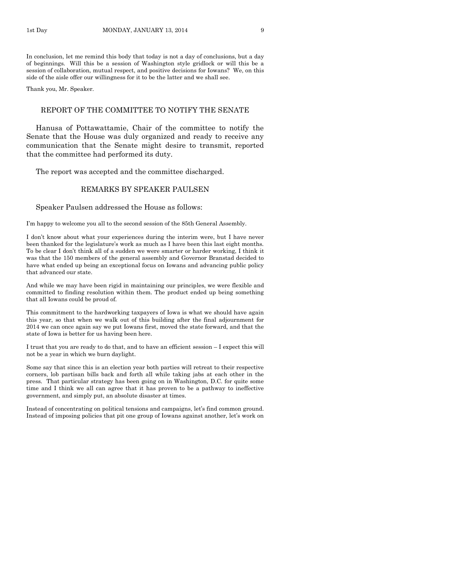In conclusion, let me remind this body that today is not a day of conclusions, but a day of beginnings. Will this be a session of Washington style gridlock or will this be a session of collaboration, mutual respect, and positive decisions for Iowans? We, on this side of the aisle offer our willingness for it to be the latter and we shall see.

Thank you, Mr. Speaker.

#### REPORT OF THE COMMITTEE TO NOTIFY THE SENATE

Hanusa of Pottawattamie, Chair of the committee to notify the Senate that the House was duly organized and ready to receive any communication that the Senate might desire to transmit, reported that the committee had performed its duty.

The report was accepted and the committee discharged.

## REMARKS BY SPEAKER PAULSEN

### Speaker Paulsen addressed the House as follows:

I'm happy to welcome you all to the second session of the 85th General Assembly.

I don't know about what your experiences during the interim were, but I have never been thanked for the legislature's work as much as I have been this last eight months. To be clear I don't think all of a sudden we were smarter or harder working, I think it was that the 150 members of the general assembly and Governor Branstad decided to have what ended up being an exceptional focus on Iowans and advancing public policy that advanced our state.

And while we may have been rigid in maintaining our principles, we were flexible and committed to finding resolution within them. The product ended up being something that all Iowans could be proud of.

This commitment to the hardworking taxpayers of Iowa is what we should have again this year, so that when we walk out of this building after the final adjournment for 2014 we can once again say we put Iowans first, moved the state forward, and that the state of Iowa is better for us having been here.

I trust that you are ready to do that, and to have an efficient session – I expect this will not be a year in which we burn daylight.

Some say that since this is an election year both parties will retreat to their respective corners, lob partisan bills back and forth all while taking jabs at each other in the press. That particular strategy has been going on in Washington, D.C. for quite some time and I think we all can agree that it has proven to be a pathway to ineffective government, and simply put, an absolute disaster at times.

Instead of concentrating on political tensions and campaigns, let's find common ground. Instead of imposing policies that pit one group of Iowans against another, let's work on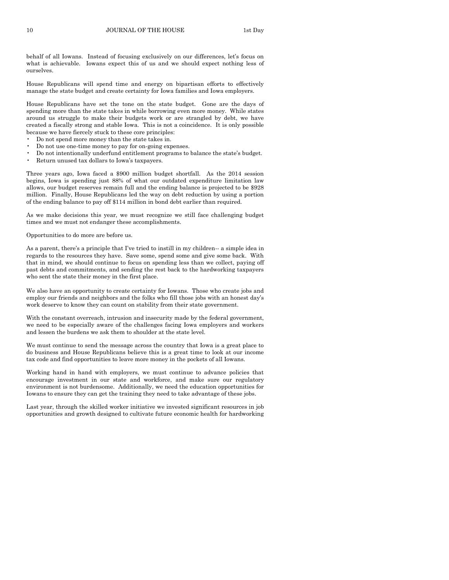behalf of all Iowans. Instead of focusing exclusively on our differences, let's focus on what is achievable. Iowans expect this of us and we should expect nothing less of ourselves.

House Republicans will spend time and energy on bipartisan efforts to effectively manage the state budget and create certainty for Iowa families and Iowa employers.

House Republicans have set the tone on the state budget. Gone are the days of spending more than the state takes in while borrowing even more money. While states around us struggle to make their budgets work or are strangled by debt, we have created a fiscally strong and stable Iowa. This is not a coincidence. It is only possible because we have fiercely stuck to these core principles:

- Do not spend more money than the state takes in.
- Do not use one-time money to pay for on-going expenses.
- Do not intentionally underfund entitlement programs to balance the state's budget.
- Return unused tax dollars to Iowa's taxpayers.

Three years ago, Iowa faced a \$900 million budget shortfall. As the 2014 session begins, Iowa is spending just 88% of what our outdated expenditure limitation law allows, our budget reserves remain full and the ending balance is projected to be \$928 million. Finally, House Republicans led the way on debt reduction by using a portion of the ending balance to pay off \$114 million in bond debt earlier than required.

As we make decisions this year, we must recognize we still face challenging budget times and we must not endanger these accomplishments.

Opportunities to do more are before us.

As a parent, there's a principle that I've tried to instill in my children-- a simple idea in regards to the resources they have. Save some, spend some and give some back. With that in mind, we should continue to focus on spending less than we collect, paying off past debts and commitments, and sending the rest back to the hardworking taxpayers who sent the state their money in the first place.

We also have an opportunity to create certainty for Iowans. Those who create jobs and employ our friends and neighbors and the folks who fill those jobs with an honest day's work deserve to know they can count on stability from their state government.

With the constant overreach, intrusion and insecurity made by the federal government, we need to be especially aware of the challenges facing Iowa employers and workers and lessen the burdens we ask them to shoulder at the state level.

We must continue to send the message across the country that Iowa is a great place to do business and House Republicans believe this is a great time to look at our income tax code and find opportunities to leave more money in the pockets of all Iowans.

Working hand in hand with employers, we must continue to advance policies that encourage investment in our state and workforce, and make sure our regulatory environment is not burdensome. Additionally, we need the education opportunities for Iowans to ensure they can get the training they need to take advantage of these jobs.

Last year, through the skilled worker initiative we invested significant resources in job opportunities and growth designed to cultivate future economic health for hardworking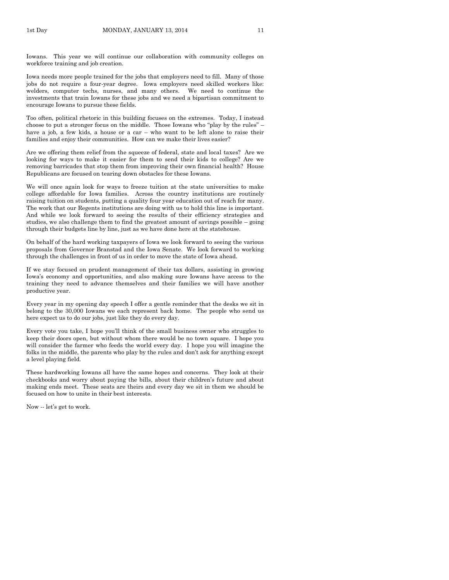Iowans. This year we will continue our collaboration with community colleges on workforce training and job creation.

Iowa needs more people trained for the jobs that employers need to fill. Many of those jobs do not require a four-year degree. Iowa employers need skilled workers like: welders, computer techs, nurses, and many others. We need to continue the investments that train Iowans for these jobs and we need a bipartisan commitment to encourage Iowans to pursue these fields.

Too often, political rhetoric in this building focuses on the extremes. Today, I instead choose to put a stronger focus on the middle. Those Iowans who "play by the rules" – have a job, a few kids, a house or a car – who want to be left alone to raise their families and enjoy their communities. How can we make their lives easier?

Are we offering them relief from the squeeze of federal, state and local taxes? Are we looking for ways to make it easier for them to send their kids to college? Are we removing barricades that stop them from improving their own financial health? House Republicans are focused on tearing down obstacles for these Iowans.

We will once again look for ways to freeze tuition at the state universities to make college affordable for Iowa families. Across the country institutions are routinely raising tuition on students, putting a quality four year education out of reach for many. The work that our Regents institutions are doing with us to hold this line is important. And while we look forward to seeing the results of their efficiency strategies and studies, we also challenge them to find the greatest amount of savings possible – going through their budgets line by line, just as we have done here at the statehouse.

On behalf of the hard working taxpayers of Iowa we look forward to seeing the various proposals from Governor Branstad and the Iowa Senate. We look forward to working through the challenges in front of us in order to move the state of Iowa ahead.

If we stay focused on prudent management of their tax dollars, assisting in growing Iowa's economy and opportunities, and also making sure Iowans have access to the training they need to advance themselves and their families we will have another productive year.

Every year in my opening day speech I offer a gentle reminder that the desks we sit in belong to the 30,000 Iowans we each represent back home. The people who send us here expect us to do our jobs, just like they do every day.

Every vote you take, I hope you'll think of the small business owner who struggles to keep their doors open, but without whom there would be no town square. I hope you will consider the farmer who feeds the world every day. I hope you will imagine the folks in the middle, the parents who play by the rules and don't ask for anything except a level playing field.

These hardworking Iowans all have the same hopes and concerns. They look at their checkbooks and worry about paying the bills, about their children's future and about making ends meet. These seats are theirs and every day we sit in them we should be focused on how to unite in their best interests.

Now -- let's get to work.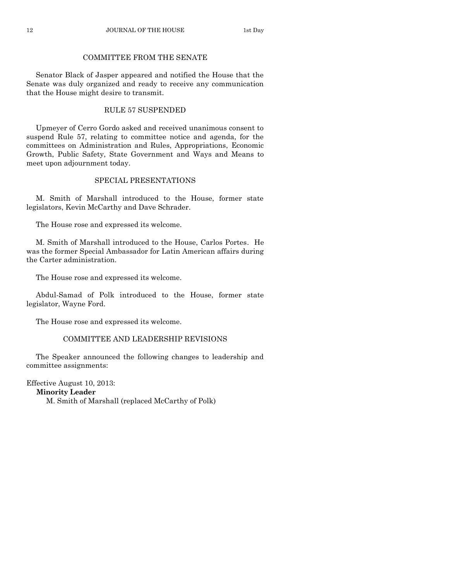## COMMITTEE FROM THE SENATE

Senator Black of Jasper appeared and notified the House that the Senate was duly organized and ready to receive any communication that the House might desire to transmit.

## RULE 57 SUSPENDED

Upmeyer of Cerro Gordo asked and received unanimous consent to suspend Rule 57, relating to committee notice and agenda, for the committees on Administration and Rules, Appropriations, Economic Growth, Public Safety, State Government and Ways and Means to meet upon adjournment today.

## SPECIAL PRESENTATIONS

M. Smith of Marshall introduced to the House, former state legislators, Kevin McCarthy and Dave Schrader.

The House rose and expressed its welcome.

M. Smith of Marshall introduced to the House, Carlos Portes. He was the former Special Ambassador for Latin American affairs during the Carter administration.

The House rose and expressed its welcome.

Abdul-Samad of Polk introduced to the House, former state legislator, Wayne Ford.

The House rose and expressed its welcome.

## COMMITTEE AND LEADERSHIP REVISIONS

The Speaker announced the following changes to leadership and committee assignments:

Effective August 10, 2013: **Minority Leader** M. Smith of Marshall (replaced McCarthy of Polk)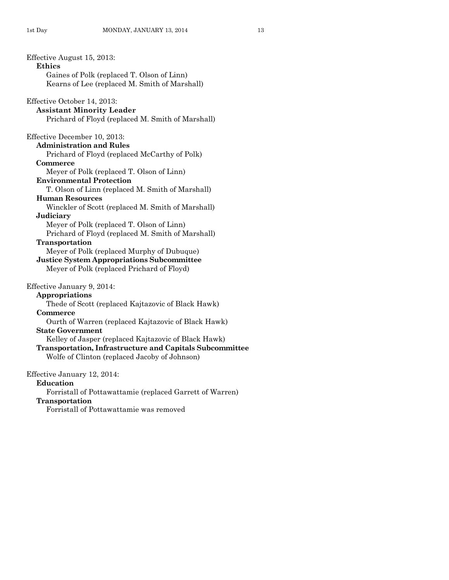Effective August 15, 2013: **Ethics** Gaines of Polk (replaced T. Olson of Linn) Kearns of Lee (replaced M. Smith of Marshall) Effective October 14, 2013: **Assistant Minority Leader**  Prichard of Floyd (replaced M. Smith of Marshall) Effective December 10, 2013: **Administration and Rules** Prichard of Floyd (replaced McCarthy of Polk) **Commerce** Meyer of Polk (replaced T. Olson of Linn) **Environmental Protection** T. Olson of Linn (replaced M. Smith of Marshall) **Human Resources** Winckler of Scott (replaced M. Smith of Marshall) **Judiciary** Meyer of Polk (replaced T. Olson of Linn) Prichard of Floyd (replaced M. Smith of Marshall) **Transportation** Meyer of Polk (replaced Murphy of Dubuque) **Justice System Appropriations Subcommittee** Meyer of Polk (replaced Prichard of Floyd) Effective January 9, 2014: **Appropriations** Thede of Scott (replaced Kajtazovic of Black Hawk) **Commerce** Ourth of Warren (replaced Kajtazovic of Black Hawk) **State Government** Kelley of Jasper (replaced Kajtazovic of Black Hawk) **Transportation, Infrastructure and Capitals Subcommittee** Wolfe of Clinton (replaced Jacoby of Johnson) Effective January 12, 2014: **Education** Forristall of Pottawattamie (replaced Garrett of Warren) **Transportation** Forristall of Pottawattamie was removed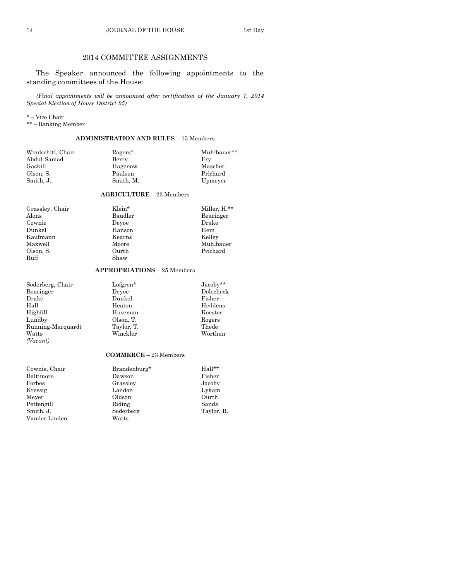## 2014 COMMITTEE ASSIGNMENTS

The Speaker announced the following appointments to the standing committees of the House:

*(Final appointments will be announced after certification of the January 7, 2014 Special Election of House District 25)*

\* – Vice Chair

\*\* – Ranking Member

## **ADMINISTRATION AND RULES** – 15 Members

| Fry      |
|----------|
| Mascher  |
| Prichard |
| Upmeyer  |
|          |

## **AGRICULTURE** – 23 Members

Alons Baudler Bearinger Bearinger Cownie Deyoe Drake Cownie Deyoe<br>Dunkel Hanson Kaufmann Kearns<br>Maxwell Moore Olson, S. Ourth Prichard

Shaw

## Grassley, Chair Klein\* Miller, H.\*\* Hanson Hein<br>Kearns Kelley Muhlbauer

## **APPROPRIATIONS** – 25 Members

| Soderberg, Chair  | Lofgren*   | $Jacoby**$ |
|-------------------|------------|------------|
| Bearinger         | Devoe      | Dolecheck  |
| Drake             | Dunkel     | Fisher     |
| Hall              | Heaton     | Heddens    |
| Highfill          | Huseman    | Koester    |
| Lundby            | Olson, T.  | Rogers     |
| Running-Marquardt | Taylor, T. | Thede      |
| Watts             | Winckler   | Worthan    |
| (Vacant)          |            |            |

## **COMMERCE** – 23 Members

| Cownie, Chair | Brandenburg* | Hall**     |
|---------------|--------------|------------|
| Baltimore     | Dawson       | Fisher     |
| $\rm{Forbes}$ | Grassley     | Jacoby     |
| Kressig       | Landon       | Lykam      |
| Meyer         | Oldson       | Ourth      |
| Pettengill    | Riding       | Sands      |
| Smith, J.     | Soderberg    | Taylor, R. |
| Vander Linden | Watts        |            |
|               |              |            |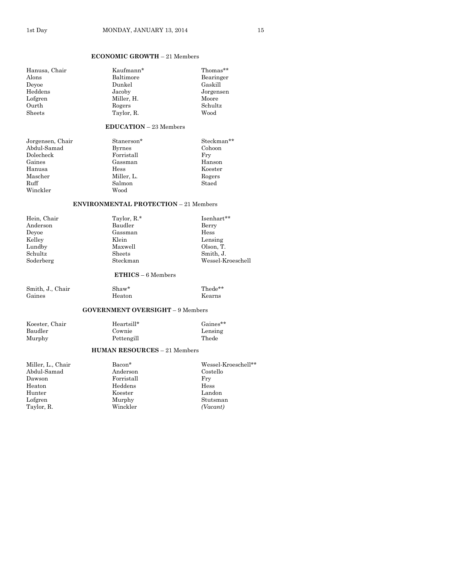## **ECONOMIC GROWTH** – 21 Members

| Hanusa, Chair<br>Alons<br>Devoe<br>Heddens<br>Lofgren<br>Ourth<br><b>Sheets</b>                 | Kaufmann*<br>Baltimore<br>Dunkel<br>Jacoby<br>Miller, H.<br>Rogers<br>Taylor, R.             | Thomas**<br>Bearinger<br>Gaskill<br>Jorgensen<br>Moore<br>Schultz<br>Wood             |  |
|-------------------------------------------------------------------------------------------------|----------------------------------------------------------------------------------------------|---------------------------------------------------------------------------------------|--|
|                                                                                                 | $EDUCATION - 23$ Members                                                                     |                                                                                       |  |
| Jorgensen, Chair<br>Abdul-Samad<br>Dolecheck<br>Gaines<br>Hanusa<br>Mascher<br>Ruff<br>Winckler | Stanerson*<br><b>Byrnes</b><br>Forristall<br>Gassman<br>Hess<br>Miller, L.<br>Salmon<br>Wood | Steckman**<br>Cohoon<br>Fry<br>Hanson<br>Koester<br>Rogers<br>Staed                   |  |
| <b>ENVIRONMENTAL PROTECTION - 21 Members</b>                                                    |                                                                                              |                                                                                       |  |
| Hein, Chair<br>Anderson<br>Devoe<br>Kelley<br>Lundby<br>Schultz<br>Soderberg                    | Taylor, R.*<br>Baudler<br>Gassman<br>Klein<br>Maxwell<br>Sheets<br>Steckman                  | Isenhart**<br>Berry<br>Hess<br>Lensing<br>Olson, T.<br>Smith. J.<br>Wessel-Kroeschell |  |
| $ETHICS - 6$ Members                                                                            |                                                                                              |                                                                                       |  |
| Smith, J., Chair<br>Gaines                                                                      | Shaw*<br>Heaton                                                                              | Thede**<br>Kearns                                                                     |  |
|                                                                                                 | <b>GOVERNMENT OVERSIGHT - 9 Members</b>                                                      |                                                                                       |  |
| Koester, Chair<br>Baudler<br>Murphy                                                             | Heartsill*<br>Cownie<br>Pettengill<br><b>HUMAN RESOURCES - 21 Members</b>                    | Gaines**<br>Lensing<br>Thede                                                          |  |
| Miller, L., Chair<br>Abdul-Samad<br>Dawson<br>Heaton<br>Hunter<br>Lofgren<br>Taylor, R.         | Bacon*<br>Anderson<br>Forristall<br>Heddens<br>Koester<br>Murphy<br>Winckler                 | Wessel-Kroeschell**<br>Costello<br>Fry<br>Hess<br>Landon<br>Stutsman<br>(Vacant)      |  |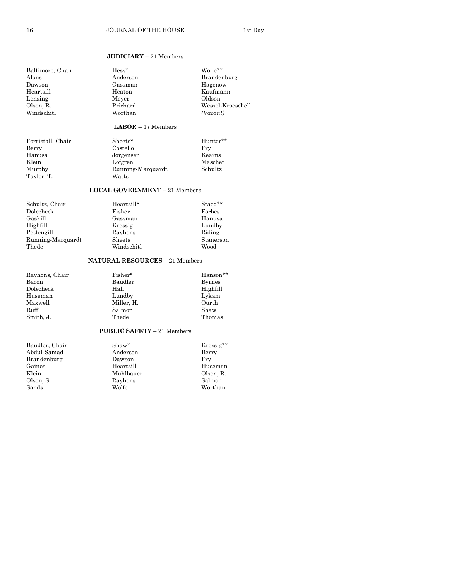## **JUDICIARY** – 21 Members

| Baltimore, Chair | $Hess*$  | Wolfe**           |
|------------------|----------|-------------------|
| Alons            | Anderson | Brandenburg       |
| Dawson           | Gassman  | Hagenow           |
| Heartsill        | Heaton   | Kaufmann          |
| Lensing          | Meyer    | Oldson            |
| Olson. R.        | Prichard | Wessel-Kroeschell |
| Windschitl       | Worthan  | (Vacant)          |
|                  |          |                   |

## **LABOR** – 17 Members

| Forristall, Chair | Sheets*           | Hunter** |
|-------------------|-------------------|----------|
| Berry             | Costello          | Frv      |
| Hanusa            | Jorgensen         | Kearns   |
| Klein             | Lofgren           | Mascher  |
| Murphy            | Running-Marquardt | Schultz  |
| Taylor, T.        | Watts             |          |

## **LOCAL GOVERNMENT** – 21 Members

| Heartsill* | Staed**   |
|------------|-----------|
| Fisher     | Forbes    |
| Gassman    | Hanusa    |
| Kressig    | Lundby    |
| Rayhons    | Riding    |
| Sheets     | Stanerson |
| Windschitl | Wood      |
|            |           |

## **NATURAL RESOURCES** – 21 Members

| Fisher*    | Hanson**      |
|------------|---------------|
| Baudler    | <b>Byrnes</b> |
| Hall       | Highfill      |
| Lundby     | Lykam         |
| Miller, H. | Ourth         |
| Salmon     | Shaw          |
| Thede      | Thomas        |
|            |               |

#### **PUBLIC SAFETY** – 21 Members

| Baudler, Chair | Shaw*     | Kressig** |
|----------------|-----------|-----------|
| Abdul-Samad    | Anderson  | Berry     |
| Brandenburg    | Dawson    | Frv       |
| Gaines         | Heartsill | Huseman   |
| Klein          | Muhlbauer | Olson, R. |
| Olson, S.      | Rayhons   | Salmon    |
| Sands          | Wolfe     | Worthan   |
|                |           |           |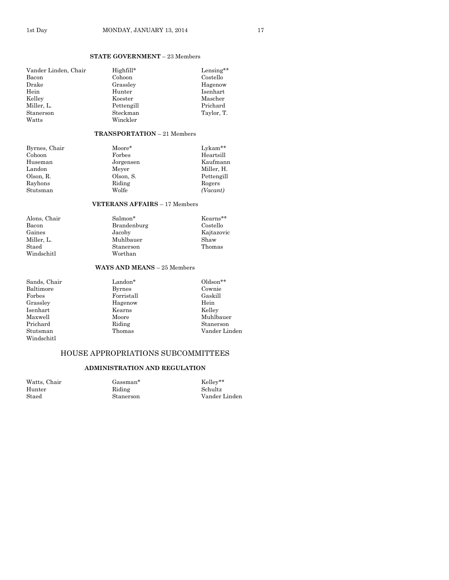## **STATE GOVERNMENT** – 23 Members

| Vander Linden, Chair | Highfill*  | Lensing**  |
|----------------------|------------|------------|
| Bacon                | Cohoon     | Costello   |
| Drake                | Grassley   | Hagenow    |
| Hein                 | Hunter     | Isenhart   |
| Kelley               | Koester    | Mascher    |
| Miller, L.           | Pettengill | Prichard   |
| Stanerson            | Steckman   | Taylor, T. |
| Watts                | Winckler   |            |

### **TRANSPORTATION** – 21 Members

| Byrnes, Chair | Moore*    | $Lv$ kam** |
|---------------|-----------|------------|
| Cohoon        | Forbes    | Heartsill  |
| Huseman       | Jorgensen | Kaufmann   |
| Landon        | Meyer     | Miller, H. |
| Olson. R.     | Olson, S. | Pettengill |
| Rayhons       | Riding    | Rogers     |
| Stutsman      | Wolfe     | (Vacant)   |
|               |           |            |

#### **VETERANS AFFAIRS** – 17 Members

| Alons, Chair | Salmon*     | Kearns**   |
|--------------|-------------|------------|
| Bacon        | Brandenburg | Costello   |
| Gaines       | Jacoby      | Kajtazovic |
| Miller. L.   | Muhlbauer   | Shaw       |
| Staed        | Stanerson   | Thomas     |
| Windschitl   | Worthan     |            |
|              |             |            |

## **WAYS AND MEANS** – 25 Members

| Sands, Chair | Landon*       | $Oldson**$    |
|--------------|---------------|---------------|
| Baltimore    | <b>Byrnes</b> | Cownie        |
| Forbes       | Forristall    | Gaskill       |
| Grassley     | Hagenow       | Hein          |
| Isenhart     | Kearns        | Kellev        |
| Maxwell      | Moore         | Muhlbauer     |
| Prichard     | Riding        | Stanerson     |
| Stutsman     | Thomas        | Vander Linden |
| Windschitl   |               |               |

## HOUSE APPROPRIATIONS SUBCOMMITTEES

#### **ADMINISTRATION AND REGULATION**

Watts, Chair Gassman\* Kelley\*\*

Riding Schultz<br>Stanerson Vander

Staed Stanerson Vander Linden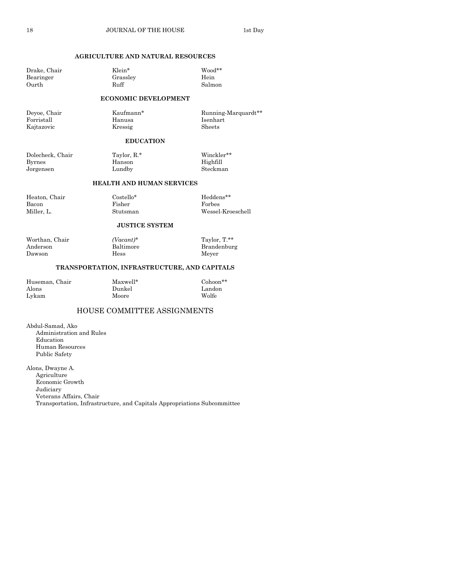## **AGRICULTURE AND NATURAL RESOURCES**

Drake, Chair Klein\* Wood\*\*

Bearinger Grassley Hein Ourth Ruff Salmon **ECONOMIC DEVELOPMENT**

Deyoe, Chair Kaufmann\* Running-Marquardt\*\* Forristall Hanusa Isenhart Kajtazovic Kressig Sheets

## **EDUCATION**

Dolecheck, Chair Taylor, R.\* Winckler\*\* Byrnes Hanson Highfill Jorgensen Lundby Steckman

## **HEALTH AND HUMAN SERVICES**

| Heaton, Chair | Costello* | Heddens**         |
|---------------|-----------|-------------------|
| Bacon         | Fisher    | Forbes            |
| Miller. L.    | Stutsman  | Wessel-Kroeschell |

#### **JUSTICE SYSTEM**

Worthan, Chair *(Vacant)\** Taylor, T.\*\* Anderson Baltimore Brandenburg Dawson Hess Meyer

## **TRANSPORTATION, INFRASTRUCTURE, AND CAPITALS**

| Huseman, Chair | Maxwell* | $Cohoon**$ |
|----------------|----------|------------|
| Alons          | Dunkel   | Landon     |
| Lykam          | Moore    | Wolfe      |

## HOUSE COMMITTEE ASSIGNMENTS

Abdul-Samad, Ako Administration and Rules Education Human Resources Public Safety

Alons, Dwayne A. Agriculture Economic Growth Judiciary Veterans Affairs, Chair Transportation, Infrastructure, and Capitals Appropriations Subcommittee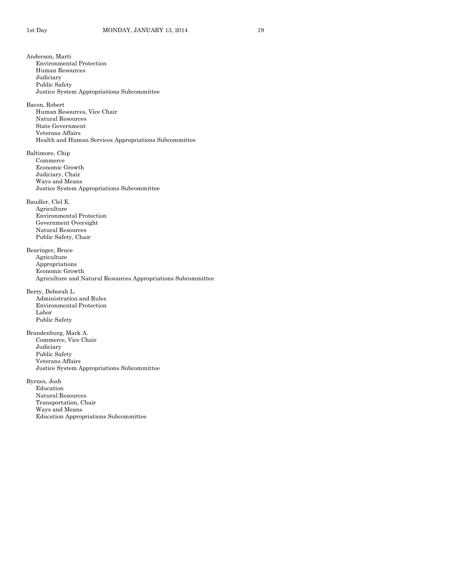Anderson, Marti Environmental Protection Human Resources Judiciary Public Safety Justice System Appropriations Subcommittee Bacon, Robert Human Resources, Vice Chair Natural Resources State Government Veterans Affairs Health and Human Services Appropriations Subcommittee Baltimore, Chip Commerce Economic Growth Judiciary, Chair Ways and Means Justice System Appropriations Subcommittee Baudler, Clel E. Agriculture Environmental Protection Government Oversight Natural Resources Public Safety, Chair Bearinger, Bruce Agriculture Appropriations Economic Growth Agriculture and Natural Resources Appropriations Subcommittee Berry, Deborah L. Administration and Rules Environmental Protection Labor Public Safety Brandenburg, Mark A. Commerce, Vice Chair Judiciary Public Safety Veterans Affairs Justice System Appropriations Subcommittee Byrnes, Josh Education Natural Resources Transportation, Chair Ways and Means Education Appropriations Subcommittee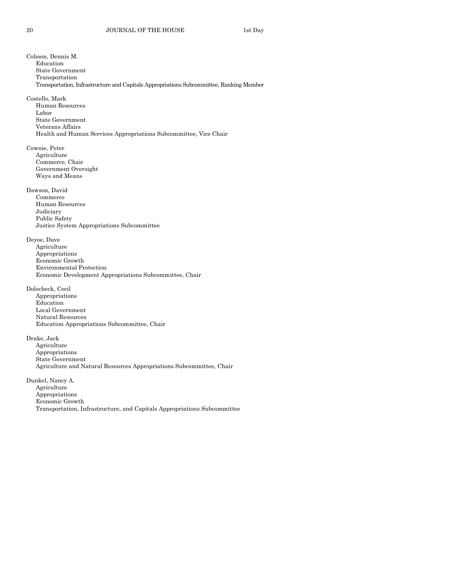Cohoon, Dennis M. Education State Government Transportation Transportation, Infrastructure and Capitals Appropriations Subcommittee, Ranking Member Costello, Mark Human Resources Labor State Government Veterans Affairs Health and Human Services Appropriations Subcommittee, Vice Chair Cownie, Peter Agriculture Commerce, Chair Government Oversight Ways and Means Dawson, David Commerce Human Resources Judiciary Public Safety Justice System Appropriations Subcommittee Deyoe, Dave Agriculture Appropriations Economic Growth Environmental Protection Economic Development Appropriations Subcommittee, Chair Dolecheck, Cecil Appropriations Education Local Government Natural Resources Education Appropriations Subcommittee, Chair Drake, Jack Agriculture Appropriations State Government Agriculture and Natural Resources Appropriations Subcommittee, Chair Dunkel, Nancy A. Agriculture Appropriations Economic Growth Transportation, Infrastructure, and Capitals Appropriations Subcommittee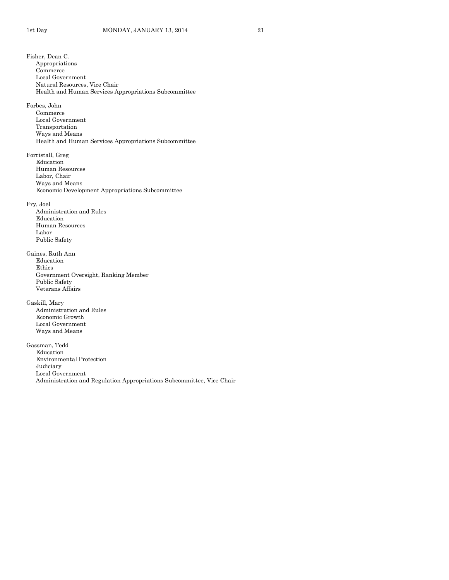Fisher, Dean C. Appropriations Commerce Local Government Natural Resources, Vice Chair Health and Human Services Appropriations Subcommittee Forbes, John Commerce Local Government Transportation Ways and Means Health and Human Services Appropriations Subcommittee Forristall, Greg Education Human Resources Labor, Chair Ways and Means Economic Development Appropriations Subcommittee Fry, Joel Administration and Rules Education Human Resources Labor Public Safety Gaines, Ruth Ann Education Ethics Government Oversight, Ranking Member Public Safety Veterans Affairs Gaskill, Mary Administration and Rules Economic Growth Local Government Ways and Means Gassman, Tedd Education Environmental Protection Judiciary Local Government Administration and Regulation Appropriations Subcommittee, Vice Chair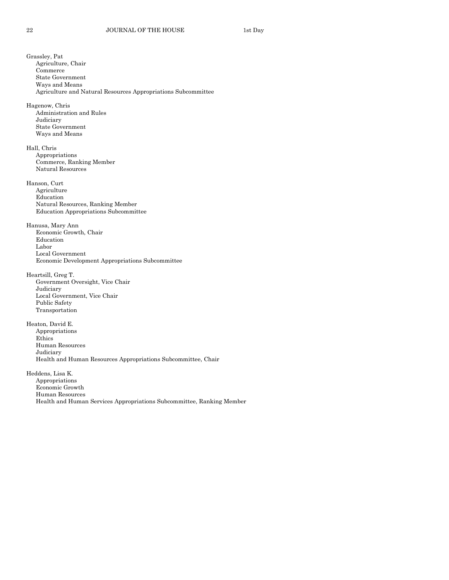Grassley, Pat Agriculture, Chair Commerce State Government Ways and Means Agriculture and Natural Resources Appropriations Subcommittee Hagenow, Chris Administration and Rules Judiciary State Government Ways and Means Hall, Chris Appropriations Commerce, Ranking Member Natural Resources Hanson, Curt Agriculture Education Natural Resources, Ranking Member Education Appropriations Subcommittee Hanusa, Mary Ann Economic Growth, Chair Education Labor Local Government Economic Development Appropriations Subcommittee Heartsill, Greg T. Government Oversight, Vice Chair Judiciary Local Government, Vice Chair Public Safety Transportation Heaton, David E. Appropriations Ethics Human Resources Judiciary Health and Human Resources Appropriations Subcommittee, Chair Heddens, Lisa K. Appropriations Economic Growth Human Resources Health and Human Services Appropriations Subcommittee, Ranking Member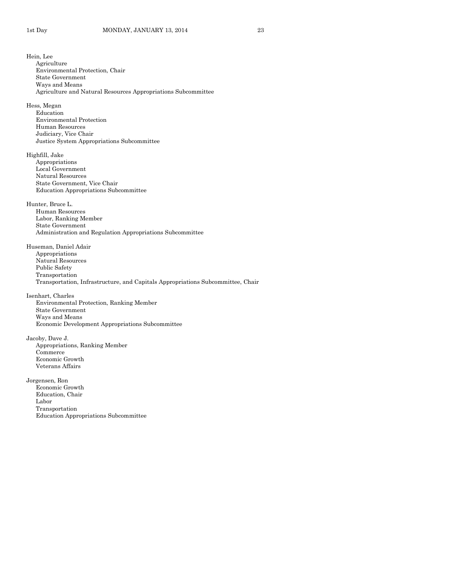Hein, Lee Agriculture Environmental Protection, Chair State Government Ways and Means Agriculture and Natural Resources Appropriations Subcommittee Hess, Megan Education Environmental Protection Human Resources Judiciary, Vice Chair Justice System Appropriations Subcommittee Highfill, Jake Appropriations Local Government Natural Resources State Government, Vice Chair Education Appropriations Subcommittee Hunter, Bruce L. Human Resources Labor, Ranking Member State Government Administration and Regulation Appropriations Subcommittee Huseman, Daniel Adair Appropriations Natural Resources Public Safety Transportation Transportation, Infrastructure, and Capitals Appropriations Subcommittee, Chair Isenhart, Charles Environmental Protection, Ranking Member State Government Ways and Means Economic Development Appropriations Subcommittee Jacoby, Dave J. Appropriations, Ranking Member Commerce Economic Growth Veterans Affairs Jorgensen, Ron Economic Growth Education, Chair Labor Transportation Education Appropriations Subcommittee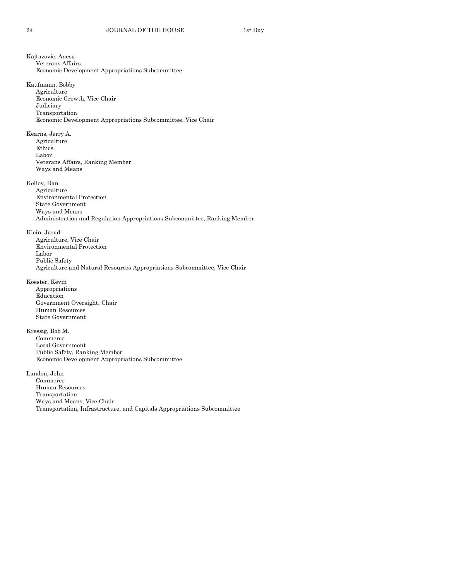Kajtazovic, Anesa Veterans Affairs Economic Development Appropriations Subcommittee Kaufmann, Bobby Agriculture Economic Growth, Vice Chair Judiciary Transportation Economic Development Appropriations Subcommittee, Vice Chair Kearns, Jerry A. Agriculture Ethics Labor Veterans Affairs, Ranking Member Ways and Means Kelley, Dan Agriculture Environmental Protection State Government Ways and Means Administration and Regulation Appropriations Subcommittee, Ranking Member Klein, Jarad Agriculture, Vice Chair Environmental Protection Labor Public Safety Agriculture and Natural Resources Appropriations Subcommittee, Vice Chair Koester, Kevin Appropriations Education Government Oversight, Chair Human Resources State Government Kressig, Bob M. Commerce Local Government Public Safety, Ranking Member Economic Development Appropriations Subcommittee Landon, John Commerce Human Resources Transportation Ways and Means, Vice Chair Transportation, Infrastructure, and Capitals Appropriations Subcommittee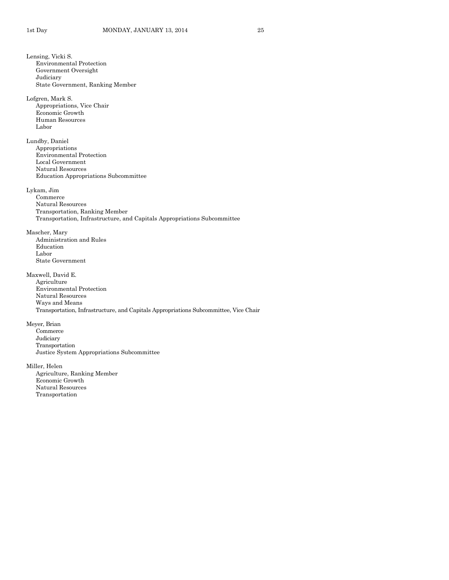Lensing, Vicki S. Environmental Protection Government Oversight Judiciary State Government, Ranking Member Lofgren, Mark S. Appropriations, Vice Chair Economic Growth Human Resources Labor Lundby, Daniel Appropriations Environmental Protection Local Government Natural Resources Education Appropriations Subcommittee Lykam, Jim Commerce Natural Resources Transportation, Ranking Member Transportation, Infrastructure, and Capitals Appropriations Subcommittee Mascher, Mary Administration and Rules Education Labor State Government Maxwell, David E. Agriculture Environmental Protection Natural Resources Ways and Means Transportation, Infrastructure, and Capitals Appropriations Subcommittee, Vice Chair Meyer, Brian Commerce Judiciary Transportation Justice System Appropriations Subcommittee Miller, Helen Agriculture, Ranking Member Economic Growth Natural Resources Transportation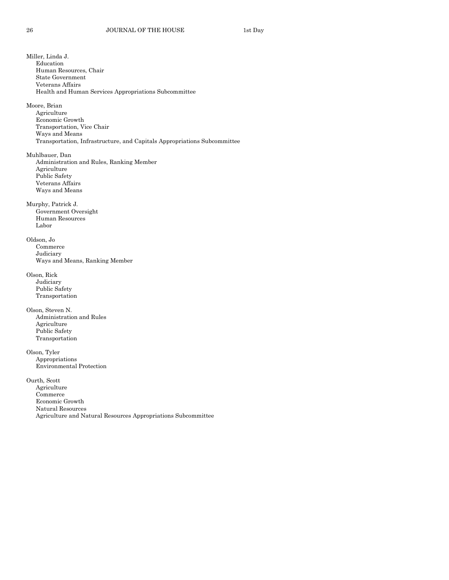Miller, Linda J. Education Human Resources, Chair State Government Veterans Affairs Health and Human Services Appropriations Subcommittee Moore, Brian Agriculture Economic Growth Transportation, Vice Chair Ways and Means Transportation, Infrastructure, and Capitals Appropriations Subcommittee Muhlbauer, Dan Administration and Rules, Ranking Member Agriculture Public Safety Veterans Affairs Ways and Means Murphy, Patrick J. Government Oversight Human Resources Labor Oldson, Jo Commerce Judiciary Ways and Means, Ranking Member Olson, Rick Judiciary Public Safety Transportation Olson, Steven N. Administration and Rules Agriculture Public Safety Transportation Olson, Tyler Appropriations Environmental Protection Ourth, Scott Agriculture Commerce Economic Growth Natural Resources Agriculture and Natural Resources Appropriations Subcommittee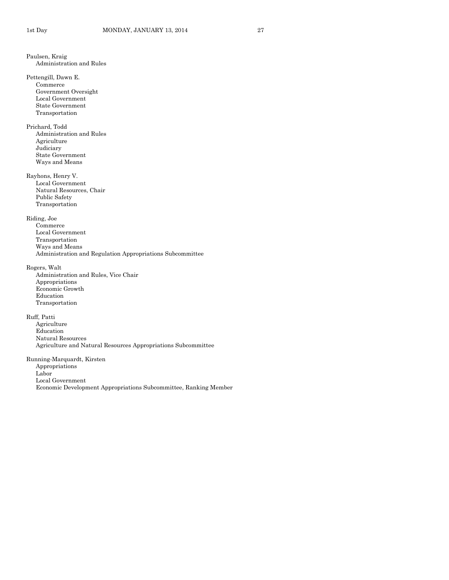Paulsen, Kraig Administration and Rules Pettengill, Dawn E. Commerce Government Oversight Local Government State Government Transportation Prichard, Todd Administration and Rules Agriculture Judiciary State Government Ways and Means Rayhons, Henry V. Local Government Natural Resources, Chair Public Safety Transportation Riding, Joe Commerce Local Government Transportation Ways and Means Administration and Regulation Appropriations Subcommittee Rogers, Walt Administration and Rules, Vice Chair Appropriations Economic Growth Education Transportation Ruff, Patti Agriculture Education Natural Resources Agriculture and Natural Resources Appropriations Subcommittee Running-Marquardt, Kirsten Appropriations Labor Local Government Economic Development Appropriations Subcommittee, Ranking Member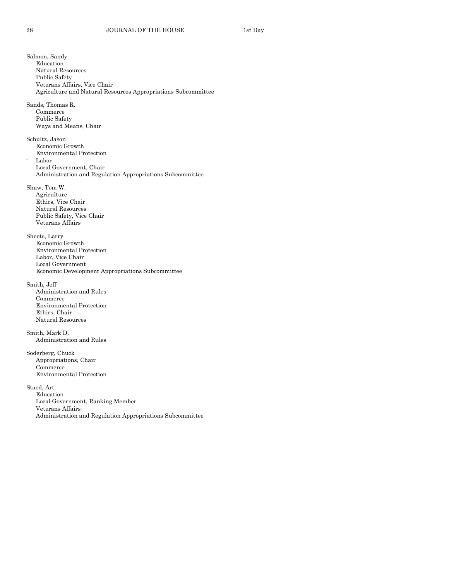Salmon, Sandy Education Natural Resources Public Safety Veterans Affairs, Vice Chair Agriculture and Natural Resources Appropriations Subcommittee Sands, Thomas R. Commerce Public Safety Ways and Means, Chair Schultz, Jason Economic Growth Environmental Protection ' Labor Local Government, Chair Administration and Regulation Appropriations Subcommittee Shaw, Tom W. Agriculture Ethics, Vice Chair Natural Resources Public Safety, Vice Chair Veterans Affairs Sheets, Larry Economic Growth Environmental Protection Labor, Vice Chair Local Government Economic Development Appropriations Subcommittee Smith, Jeff Administration and Rules Commerce Environmental Protection Ethics, Chair Natural Resources Smith, Mark D. Administration and Rules Soderberg, Chuck Appropriations, Chair Commerce Environmental Protection Staed, Art Education Local Government, Ranking Member Veterans Affairs Administration and Regulation Appropriations Subcommittee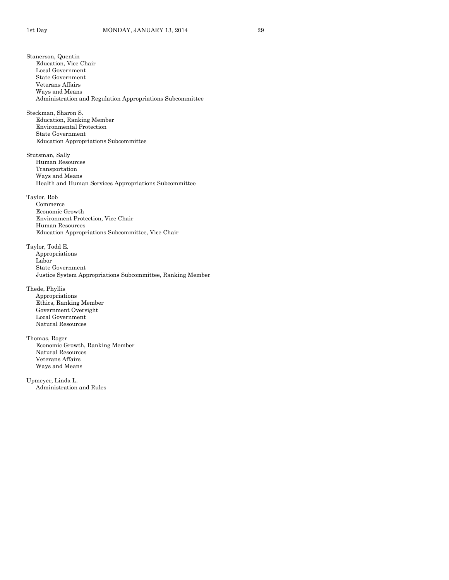Stanerson, Quentin Education, Vice Chair Local Government State Government Veterans Affairs Ways and Means Administration and Regulation Appropriations Subcommittee Steckman, Sharon S. Education, Ranking Member Environmental Protection State Government Education Appropriations Subcommittee Stutsman, Sally Human Resources Transportation Ways and Means Health and Human Services Appropriations Subcommittee Taylor, Rob Commerce Economic Growth Environment Protection, Vice Chair Human Resources Education Appropriations Subcommittee, Vice Chair Taylor, Todd E. Appropriations Labor State Government Justice System Appropriations Subcommittee, Ranking Member Thede, Phyllis Appropriations Ethics, Ranking Member Government Oversight Local Government Natural Resources Thomas, Roger Economic Growth, Ranking Member Natural Resources Veterans Affairs Ways and Means Upmeyer, Linda L. Administration and Rules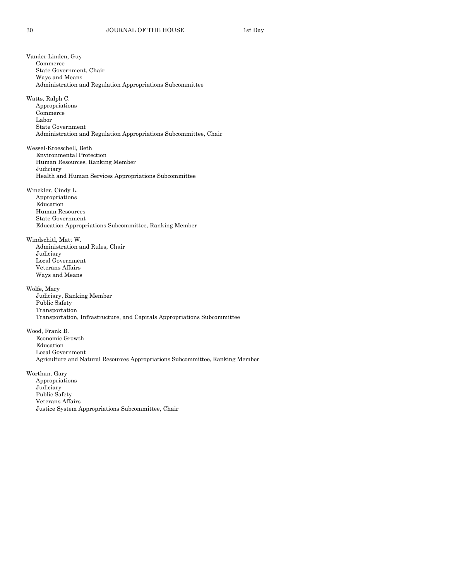Vander Linden, Guy Commerce State Government, Chair Ways and Means Administration and Regulation Appropriations Subcommittee Watts, Ralph C. Appropriations Commerce Labor State Government Administration and Regulation Appropriations Subcommittee, Chair Wessel-Kroeschell, Beth Environmental Protection Human Resources, Ranking Member Judiciary Health and Human Services Appropriations Subcommittee Winckler, Cindy L. Appropriations Education Human Resources State Government Education Appropriations Subcommittee, Ranking Member Windschitl, Matt W. Administration and Rules, Chair Judiciary Local Government Veterans Affairs Ways and Means Wolfe, Mary Judiciary, Ranking Member Public Safety Transportation Transportation, Infrastructure, and Capitals Appropriations Subcommittee Wood, Frank B. Economic Growth Education Local Government Agriculture and Natural Resources Appropriations Subcommittee, Ranking Member Worthan, Gary Appropriations Judiciary Public Safety Veterans Affairs Justice System Appropriations Subcommittee, Chair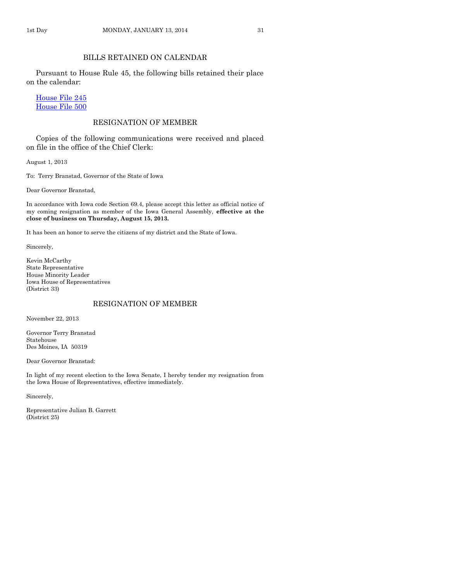## BILLS RETAINED ON CALENDAR

Pursuant to House Rule 45, the following bills retained their place on the calendar:

[House File 245](http://coolice.legis.iowa.gov/Cool-ICE/default.asp?Category=billinfo&Service=Billbook&frame=1&GA=85&hbill=HF245) [House File 500](http://coolice.legis.iowa.gov/Cool-ICE/default.asp?Category=billinfo&Service=Billbook&frame=1&GA=85&hbill=HF500)

## RESIGNATION OF MEMBER

Copies of the following communications were received and placed on file in the office of the Chief Clerk:

August 1, 2013

To: Terry Branstad, Governor of the State of Iowa

Dear Governor Branstad,

In accordance with Iowa code Section 69.4, please accept this letter as official notice of my coming resignation as member of the Iowa General Assembly, **effective at the close of business on Thursday, August 15, 2013.**

It has been an honor to serve the citizens of my district and the State of Iowa.

Sincerely,

Kevin McCarthy State Representative House Minority Leader Iowa House of Representatives (District 33)

## RESIGNATION OF MEMBER

November 22, 2013

Governor Terry Branstad Statehouse Des Moines, IA 50319

Dear Governor Branstad:

In light of my recent election to the Iowa Senate, I hereby tender my resignation from the Iowa House of Representatives, effective immediately.

Sincerely,

Representative Julian B. Garrett (District 25)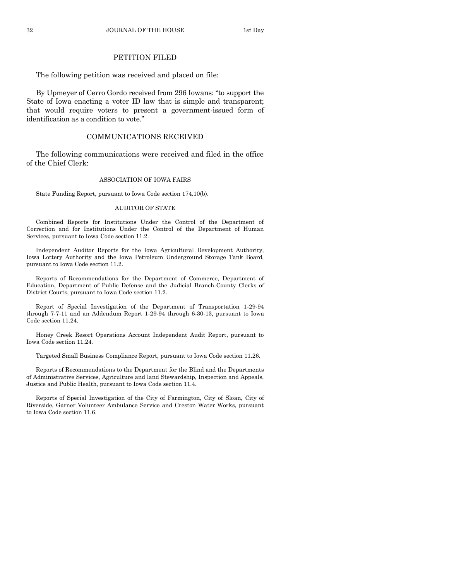## PETITION FILED

The following petition was received and placed on file:

By Upmeyer of Cerro Gordo received from 296 Iowans: "to support the State of Iowa enacting a voter ID law that is simple and transparent; that would require voters to present a government-issued form of identification as a condition to vote."

#### COMMUNICATIONS RECEIVED

The following communications were received and filed in the office of the Chief Clerk:

#### ASSOCIATION OF IOWA FAIRS

State Funding Report, pursuant to Iowa Code section 174.10(b).

#### AUDITOR OF STATE

Combined Reports for Institutions Under the Control of the Department of Correction and for Institutions Under the Control of the Department of Human Services, pursuant to Iowa Code section 11.2.

Independent Auditor Reports for the Iowa Agricultural Development Authority, Iowa Lottery Authority and the Iowa Petroleum Underground Storage Tank Board, pursuant to Iowa Code section 11.2.

Reports of Recommendations for the Department of Commerce, Department of Education, Department of Public Defense and the Judicial Branch-County Clerks of District Courts, pursuant to Iowa Code section 11.2.

Report of Special Investigation of the Department of Transportation 1-29-94 through 7-7-11 and an Addendum Report 1-29-94 through 6-30-13, pursuant to Iowa Code section 11.24.

Honey Creek Resort Operations Account Independent Audit Report, pursuant to Iowa Code section 11.24.

Targeted Small Business Compliance Report, pursuant to Iowa Code section 11.26.

Reports of Recommendations to the Department for the Blind and the Departments of Administrative Services, Agriculture and land Stewardship, Inspection and Appeals, Justice and Public Health, pursuant to Iowa Code section 11.4.

Reports of Special Investigation of the City of Farmington, City of Sloan, City of Riverside, Garner Volunteer Ambulance Service and Creston Water Works, pursuant to Iowa Code section 11.6.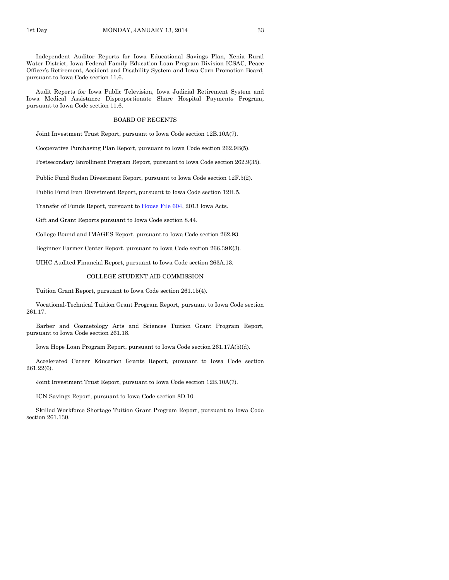Independent Auditor Reports for Iowa Educational Savings Plan, Xenia Rural Water District, Iowa Federal Family Education Loan Program Division-ICSAC, Peace Officer's Retirement, Accident and Disability System and Iowa Corn Promotion Board, pursuant to Iowa Code section 11.6.

Audit Reports for Iowa Public Television, Iowa Judicial Retirement System and Iowa Medical Assistance Disproportionate Share Hospital Payments Program, pursuant to Iowa Code section 11.6.

#### BOARD OF REGENTS

Joint Investment Trust Report, pursuant to Iowa Code section 12B.10A(7).

Cooperative Purchasing Plan Report, pursuant to Iowa Code section 262.9B(5).

Postsecondary Enrollment Program Report, pursuant to Iowa Code section 262.9(35).

Public Fund Sudan Divestment Report, pursuant to Iowa Code section 12F.5(2).

Public Fund Iran Divestment Report, pursuant to Iowa Code section 12H.5.

Transfer of Funds Report, pursuant to [House File 604,](http://coolice.legis.iowa.gov/Cool-ICE/default.asp?Category=billinfo&Service=Billbook&frame=1&GA=85&hbill=HF604) 2013 Iowa Acts.

Gift and Grant Reports pursuant to Iowa Code section 8.44.

College Bound and IMAGES Report, pursuant to Iowa Code section 262.93.

Beginner Farmer Center Report, pursuant to Iowa Code section 266.39E(3).

UIHC Audited Financial Report, pursuant to Iowa Code section 263A.13.

#### COLLEGE STUDENT AID COMMISSION

Tuition Grant Report, pursuant to Iowa Code section 261.15(4).

Vocational-Technical Tuition Grant Program Report, pursuant to Iowa Code section 261.17.

Barber and Cosmetology Arts and Sciences Tuition Grant Program Report, pursuant to Iowa Code section 261.18.

Iowa Hope Loan Program Report, pursuant to Iowa Code section 261.17A(5)(d).

Accelerated Career Education Grants Report, pursuant to Iowa Code section 261.22(6).

Joint Investment Trust Report, pursuant to Iowa Code section 12B.10A(7).

ICN Savings Report, pursuant to Iowa Code section 8D.10.

Skilled Workforce Shortage Tuition Grant Program Report, pursuant to Iowa Code section 261.130.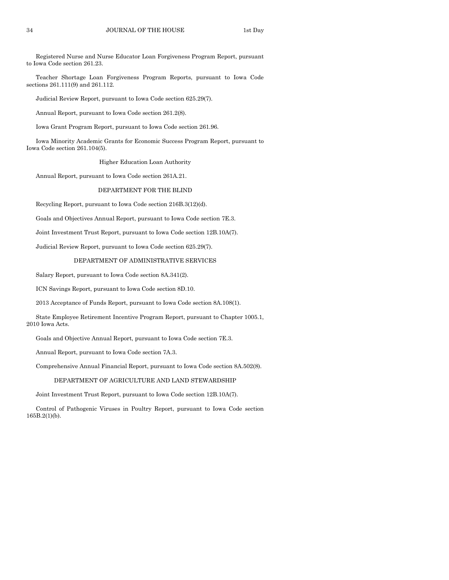Registered Nurse and Nurse Educator Loan Forgiveness Program Report, pursuant to Iowa Code section 261.23.

Teacher Shortage Loan Forgiveness Program Reports, pursuant to Iowa Code sections 261.111(9) and 261.112.

Judicial Review Report, pursuant to Iowa Code section 625.29(7).

Annual Report, pursuant to Iowa Code section 261.2(8).

Iowa Grant Program Report, pursuant to Iowa Code section 261.96.

Iowa Minority Academic Grants for Economic Success Program Report, pursuant to Iowa Code section 261.104(5).

Higher Education Loan Authority

Annual Report, pursuant to Iowa Code section 261A.21.

#### DEPARTMENT FOR THE BLIND

Recycling Report, pursuant to Iowa Code section 216B.3(12)(d).

Goals and Objectives Annual Report, pursuant to Iowa Code section 7E.3.

Joint Investment Trust Report, pursuant to Iowa Code section 12B.10A(7).

Judicial Review Report, pursuant to Iowa Code section 625.29(7).

#### DEPARTMENT OF ADMINISTRATIVE SERVICES

Salary Report, pursuant to Iowa Code section 8A.341(2).

ICN Savings Report, pursuant to Iowa Code section 8D.10.

2013 Acceptance of Funds Report, pursuant to Iowa Code section 8A.108(1).

State Employee Retirement Incentive Program Report, pursuant to Chapter 1005.1, 2010 Iowa Acts.

Goals and Objective Annual Report, pursuant to Iowa Code section 7E.3.

Annual Report, pursuant to Iowa Code section 7A.3.

Comprehensive Annual Financial Report, pursuant to Iowa Code section 8A.502(8).

#### DEPARTMENT OF AGRICULTURE AND LAND STEWARDSHIP

Joint Investment Trust Report, pursuant to Iowa Code section 12B.10A(7).

Control of Pathogenic Viruses in Poultry Report, pursuant to Iowa Code section 165B.2(1)(b).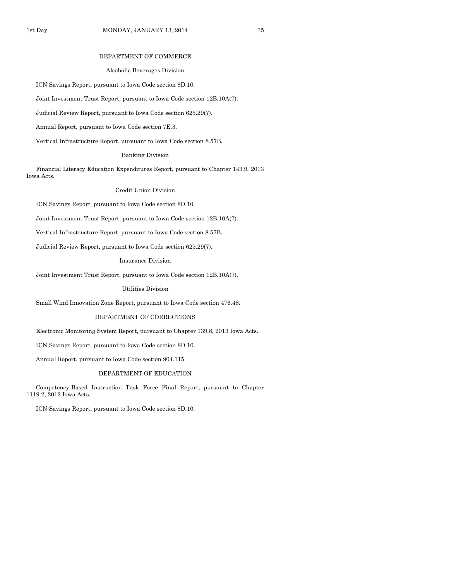#### DEPARTMENT OF COMMERCE

#### Alcoholic Beverages Division

ICN Savings Report, pursuant to Iowa Code section 8D.10.

Joint Investment Trust Report, pursuant to Iowa Code section 12B.10A(7).

Judicial Review Report, pursuant to Iowa Code section 625.29(7).

Annual Report, pursuant to Iowa Code section 7E.3.

Vertical Infrastructure Report, pursuant to Iowa Code section 8.57B.

#### Banking Division

Financial Literacy Education Expenditures Report, pursuant to Chapter 143.9, 2013 Iowa Acts.

### Credit Union Division

ICN Savings Report, pursuant to Iowa Code section 8D.10.

Joint Investment Trust Report, pursuant to Iowa Code section 12B.10A(7).

Vertical Infrastructure Report, pursuant to Iowa Code section 8.57B.

Judicial Review Report, pursuant to Iowa Code section 625.29(7).

Insurance Division

Joint Investment Trust Report, pursuant to Iowa Code section 12B.10A(7).

Utilities Division

Small Wind Innovation Zone Report, pursuant to Iowa Code section 476.48.

#### DEPARTMENT OF CORRECTIONS

Electronic Monitoring System Report, pursuant to Chapter 139.8, 2013 Iowa Acts.

ICN Savings Report, pursuant to Iowa Code section 8D.10.

Annual Report, pursuant to Iowa Code section 904.115.

#### DEPARTMENT OF EDUCATION

Competency-Based Instruction Task Force Final Report, pursuant to Chapter 1119.2, 2012 Iowa Acts.

ICN Savings Report, pursuant to Iowa Code section 8D.10.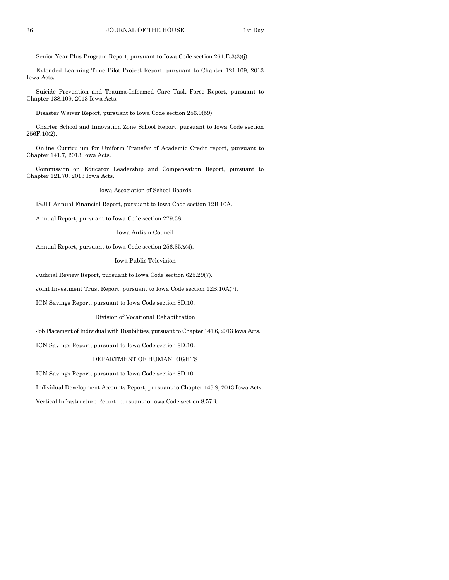Senior Year Plus Program Report, pursuant to Iowa Code section 261.E.3(3)(j).

Extended Learning Time Pilot Project Report, pursuant to Chapter 121.109, 2013 Iowa Acts.

Suicide Prevention and Trauma-Informed Care Task Force Report, pursuant to Chapter 138.109, 2013 Iowa Acts.

Disaster Waiver Report, pursuant to Iowa Code section 256.9(59).

Charter School and Innovation Zone School Report, pursuant to Iowa Code section 256F.10(2).

Online Curriculum for Uniform Transfer of Academic Credit report, pursuant to Chapter 141.7, 2013 Iowa Acts.

Commission on Educator Leadership and Compensation Report, pursuant to Chapter 121.70, 2013 Iowa Acts.

Iowa Association of School Boards

ISJIT Annual Financial Report, pursuant to Iowa Code section 12B.10A.

Annual Report, pursuant to Iowa Code section 279.38.

Iowa Autism Council

Annual Report, pursuant to Iowa Code section 256.35A(4).

Iowa Public Television

Judicial Review Report, pursuant to Iowa Code section 625.29(7).

Joint Investment Trust Report, pursuant to Iowa Code section 12B.10A(7).

ICN Savings Report, pursuant to Iowa Code section 8D.10.

Division of Vocational Rehabilitation

Job Placement of Individual with Disabilities, pursuant to Chapter 141.6, 2013 Iowa Acts.

ICN Savings Report, pursuant to Iowa Code section 8D.10.

#### DEPARTMENT OF HUMAN RIGHTS

ICN Savings Report, pursuant to Iowa Code section 8D.10.

Individual Development Accounts Report, pursuant to Chapter 143.9, 2013 Iowa Acts.

Vertical Infrastructure Report, pursuant to Iowa Code section 8.57B.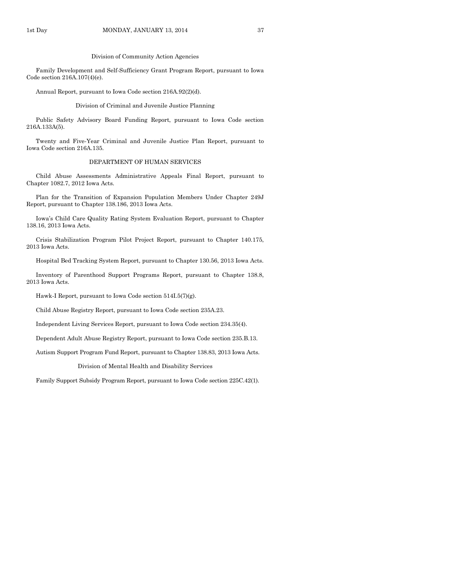Family Development and Self-Sufficiency Grant Program Report, pursuant to Iowa Code section 216A.107(4)(e).

Annual Report, pursuant to Iowa Code section 216A.92(2)(d).

Division of Criminal and Juvenile Justice Planning

Public Safety Advisory Board Funding Report, pursuant to Iowa Code section 216A.133A(5).

Twenty and Five-Year Criminal and Juvenile Justice Plan Report, pursuant to Iowa Code section 216A.135.

#### DEPARTMENT OF HUMAN SERVICES

Child Abuse Assessments Administrative Appeals Final Report, pursuant to Chapter 1082.7, 2012 Iowa Acts.

Plan for the Transition of Expansion Population Members Under Chapter 249J Report, pursuant to Chapter 138.186, 2013 Iowa Acts.

Iowa's Child Care Quality Rating System Evaluation Report, pursuant to Chapter 138.16, 2013 Iowa Acts.

Crisis Stabilization Program Pilot Project Report, pursuant to Chapter 140.175, 2013 Iowa Acts.

Hospital Bed Tracking System Report, pursuant to Chapter 130.56, 2013 Iowa Acts.

Inventory of Parenthood Support Programs Report, pursuant to Chapter 138.8, 2013 Iowa Acts.

Hawk-I Report, pursuant to Iowa Code section 514I.5(7)(g).

Child Abuse Registry Report, pursuant to Iowa Code section 235A.23.

Independent Living Services Report, pursuant to Iowa Code section 234.35(4).

Dependent Adult Abuse Registry Report, pursuant to Iowa Code section 235.B.13.

Autism Support Program Fund Report, pursuant to Chapter 138.83, 2013 Iowa Acts.

Division of Mental Health and Disability Services

Family Support Subsidy Program Report, pursuant to Iowa Code section 225C.42(1).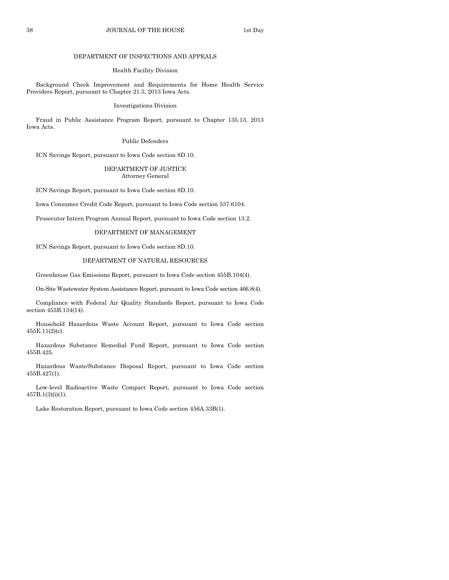#### 38 JOURNAL OF THE HOUSE 1st Day

#### DEPARTMENT OF INSPECTIONS AND APPEALS

#### Health Facility Division

Background Check Improvement and Requirements for Home Health Service Providers Report, pursuant to Chapter 21.5, 2013 Iowa Acts.

#### Investigations Division

Fraud in Public Assistance Program Report, pursuant to Chapter 135.13, 2013 Iowa Acts.

#### Public Defenders

ICN Savings Report, pursuant to Iowa Code section 8D.10.

### DEPARTMENT OF JUSTICE Attorney General

ICN Savings Report, pursuant to Iowa Code section 8D.10.

Iowa Consumer Credit Code Report, pursuant to Iowa Code section 537.6104.

Prosecutor Intern Program Annual Report, pursuant to Iowa Code section 13.2.

#### DEPARTMENT OF MANAGEMENT

ICN Savings Report, pursuant to Iowa Code section 8D.10.

#### DEPARTMENT OF NATURAL RESOURCES

Greenhouse Gas Emissions Report, pursuant to Iowa Code section 455B.104(4).

On-Site Wastewater System Assistance Report, pursuant to Iowa Code section 466.8(4).

Compliance with Federal Air Quality Standards Report, pursuant to Iowa Code section 455B.134(14).

Household Hazardous Waste Account Report, pursuant to Iowa Code section 455E.11(2)(c).

Hazardous Substance Remedial Fund Report, pursuant to Iowa Code section 455B.425.

Hazardous Waste/Substance Disposal Report, pursuant to Iowa Code section 455B.427(1).

Low-level Radioactive Waste Compact Report, pursuant to Iowa Code section 457B.1(3)(i)(1).

Lake Restoration Report, pursuant to Iowa Code section 456A.33B(1).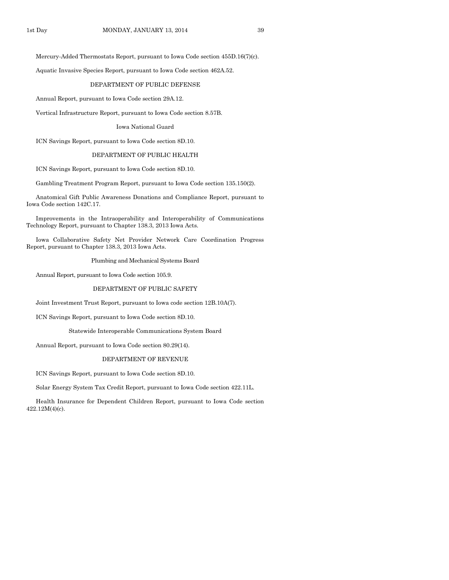Mercury-Added Thermostats Report, pursuant to Iowa Code section 455D.16(7)(c).

Aquatic Invasive Species Report, pursuant to Iowa Code section 462A.52.

#### DEPARTMENT OF PUBLIC DEFENSE

Annual Report, pursuant to Iowa Code section 29A.12.

Vertical Infrastructure Report, pursuant to Iowa Code section 8.57B.

Iowa National Guard

ICN Savings Report, pursuant to Iowa Code section 8D.10.

#### DEPARTMENT OF PUBLIC HEALTH

ICN Savings Report, pursuant to Iowa Code section 8D.10.

Gambling Treatment Program Report, pursuant to Iowa Code section 135.150(2).

Anatomical Gift Public Awareness Donations and Compliance Report, pursuant to Iowa Code section 142C.17.

Improvements in the Intraoperability and Interoperability of Communications Technology Report, pursuant to Chapter 138.3, 2013 Iowa Acts.

Iowa Collaborative Safety Net Provider Network Care Coordination Progress Report, pursuant to Chapter 138.3, 2013 Iowa Acts.

Plumbing and Mechanical Systems Board

Annual Report, pursuant to Iowa Code section 105.9.

#### DEPARTMENT OF PUBLIC SAFETY

Joint Investment Trust Report, pursuant to Iowa code section 12B.10A(7).

ICN Savings Report, pursuant to Iowa Code section 8D.10.

Statewide Interoperable Communications System Board

Annual Report, pursuant to Iowa Code section 80.29(14).

#### DEPARTMENT OF REVENUE

ICN Savings Report, pursuant to Iowa Code section 8D.10.

Solar Energy System Tax Credit Report, pursuant to Iowa Code section 422.11L.

Health Insurance for Dependent Children Report, pursuant to Iowa Code section 422.12M(4)(c).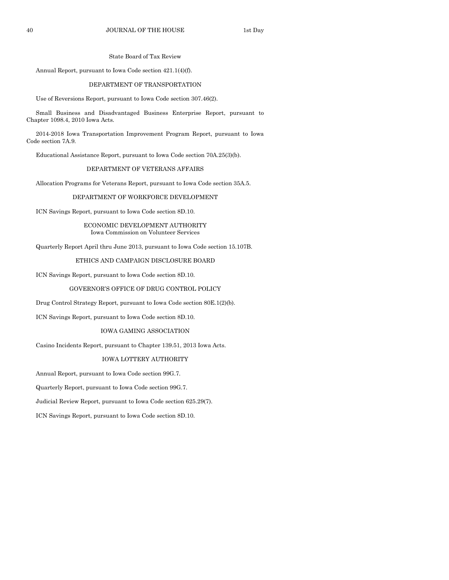#### State Board of Tax Review

Annual Report, pursuant to Iowa Code section 421.1(4)(f).

#### DEPARTMENT OF TRANSPORTATION

Use of Reversions Report, pursuant to Iowa Code section 307.46(2).

Small Business and Disadvantaged Business Enterprise Report, pursuant to Chapter 1098.4, 2010 Iowa Acts.

2014-2018 Iowa Transportation Improvement Program Report, pursuant to Iowa Code section 7A.9.

Educational Assistance Report, pursuant to Iowa Code section 70A.25(3)(b).

## DEPARTMENT OF VETERANS AFFAIRS

Allocation Programs for Veterans Report, pursuant to Iowa Code section 35A.5.

#### DEPARTMENT OF WORKFORCE DEVELOPMENT

ICN Savings Report, pursuant to Iowa Code section 8D.10.

#### ECONOMIC DEVELOPMENT AUTHORITY Iowa Commission on Volunteer Services

Quarterly Report April thru June 2013, pursuant to Iowa Code section 15.107B.

#### ETHICS AND CAMPAIGN DISCLOSURE BOARD

ICN Savings Report, pursuant to Iowa Code section 8D.10.

#### GOVERNOR'S OFFICE OF DRUG CONTROL POLICY

Drug Control Strategy Report, pursuant to Iowa Code section 80E.1(2)(b).

ICN Savings Report, pursuant to Iowa Code section 8D.10.

#### IOWA GAMING ASSOCIATION

Casino Incidents Report, pursuant to Chapter 139.51, 2013 Iowa Acts.

#### IOWA LOTTERY AUTHORITY

Annual Report, pursuant to Iowa Code section 99G.7.

Quarterly Report, pursuant to Iowa Code section 99G.7.

Judicial Review Report, pursuant to Iowa Code section 625.29(7).

ICN Savings Report, pursuant to Iowa Code section 8D.10.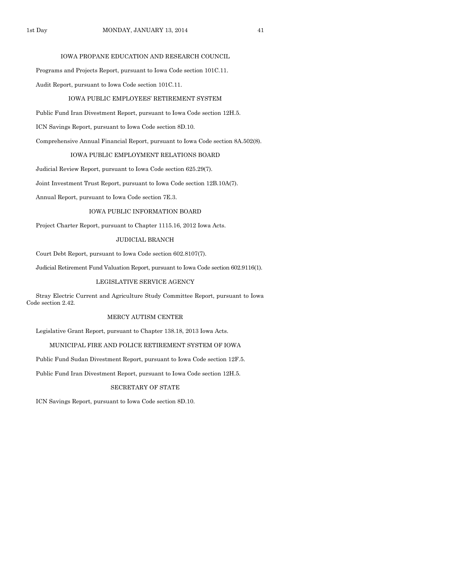## IOWA PROPANE EDUCATION AND RESEARCH COUNCIL

Programs and Projects Report, pursuant to Iowa Code section 101C.11.

Audit Report, pursuant to Iowa Code section 101C.11.

#### IOWA PUBLIC EMPLOYEES' RETIREMENT SYSTEM

Public Fund Iran Divestment Report, pursuant to Iowa Code section 12H.5.

ICN Savings Report, pursuant to Iowa Code section 8D.10.

Comprehensive Annual Financial Report, pursuant to Iowa Code section 8A.502(8).

#### IOWA PUBLIC EMPLOYMENT RELATIONS BOARD

Judicial Review Report, pursuant to Iowa Code section 625.29(7).

Joint Investment Trust Report, pursuant to Iowa Code section 12B.10A(7).

Annual Report, pursuant to Iowa Code section 7E.3.

#### IOWA PUBLIC INFORMATION BOARD

Project Charter Report, pursuant to Chapter 1115.16, 2012 Iowa Acts.

#### JUDICIAL BRANCH

Court Debt Report, pursuant to Iowa Code section 602.8107(7).

Judicial Retirement Fund Valuation Report, pursuant to Iowa Code section 602.9116(1).

#### LEGISLATIVE SERVICE AGENCY

Stray Electric Current and Agriculture Study Committee Report, pursuant to Iowa Code section 2.42.

#### MERCY AUTISM CENTER

Legislative Grant Report, pursuant to Chapter 138.18, 2013 Iowa Acts.

#### MUNICIPAL FIRE AND POLICE RETIREMENT SYSTEM OF IOWA

Public Fund Sudan Divestment Report, pursuant to Iowa Code section 12F.5.

Public Fund Iran Divestment Report, pursuant to Iowa Code section 12H.5.

## SECRETARY OF STATE

ICN Savings Report, pursuant to Iowa Code section 8D.10.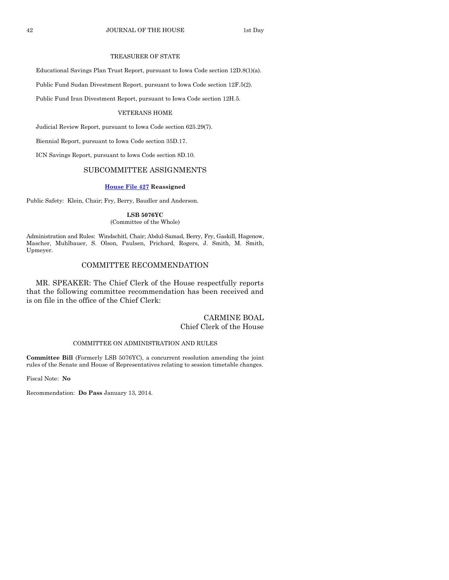## TREASURER OF STATE

Educational Savings Plan Trust Report, pursuant to Iowa Code section 12D.8(1)(a).

Public Fund Sudan Divestment Report, pursuant to Iowa Code section 12F.5(2).

Public Fund Iran Divestment Report, pursuant to Iowa Code section 12H.5.

#### VETERANS HOME

Judicial Review Report, pursuant to Iowa Code section 625.29(7).

Biennial Report, pursuant to Iowa Code section 35D.17.

ICN Savings Report, pursuant to Iowa Code section 8D.10.

## SUBCOMMITTEE ASSIGNMENTS

#### **[House File 427](http://coolice.legis.iowa.gov/Cool-ICE/default.asp?Category=billinfo&Service=Billbook&frame=1&GA=85&hbill=HF427) Reassigned**

Public Safety: Klein, Chair; Fry, Berry, Baudler and Anderson.

#### **LSB 5076YC** (Committee of the Whole)

Administration and Rules: Windschitl, Chair; Abdul-Samad, Berry, Fry, Gaskill, Hagenow, Mascher, Muhlbauer, S. Olson, Paulsen, Prichard, Rogers, J. Smith, M. Smith, Upmeyer.

## COMMITTEE RECOMMENDATION

MR. SPEAKER: The Chief Clerk of the House respectfully reports that the following committee recommendation has been received and is on file in the office of the Chief Clerk:

## CARMINE BOAL Chief Clerk of the House

#### COMMITTEE ON ADMINISTRATION AND RULES

**Committee Bill** (Formerly LSB 5076YC), a concurrent resolution amending the joint rules of the Senate and House of Representatives relating to session timetable changes.

Fiscal Note: **No**

Recommendation: **Do Pass** January 13, 2014.